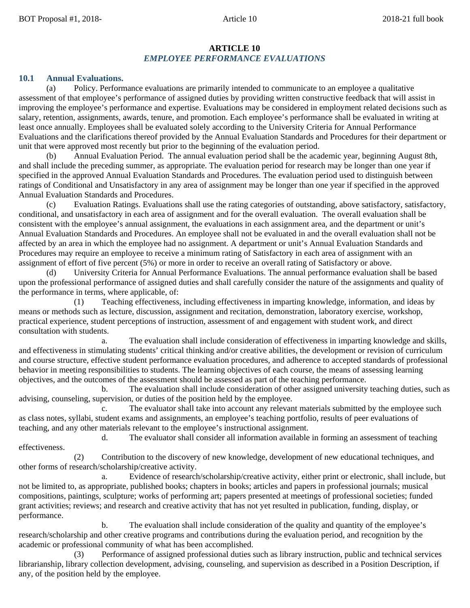### **ARTICLE 10** *EMPLOYEE PERFORMANCE EVALUATIONS*

#### **10.1 Annual Evaluations.**

(a) Policy. Performance evaluations are primarily intended to communicate to an employee a qualitative assessment of that employee's performance of assigned duties by providing written constructive feedback that will assist in improving the employee's performance and expertise. Evaluations may be considered in employment related decisions such as salary, retention, assignments, awards, tenure, and promotion. Each employee's performance shall be evaluated in writing at least once annually. Employees shall be evaluated solely according to the University Criteria for Annual Performance Evaluations and the clarifications thereof provided by the Annual Evaluation Standards and Procedures for their department or unit that were approved most recently but prior to the beginning of the evaluation period.

Annual Evaluation Period. The annual evaluation period shall be the academic year, beginning August 8th, and shall include the preceding summer, as appropriate. The evaluation period for research may be longer than one year if specified in the approved Annual Evaluation Standards and Procedures. The evaluation period used to distinguish between ratings of Conditional and Unsatisfactory in any area of assignment may be longer than one year if specified in the approved Annual Evaluation Standards and Procedures.

Evaluation Ratings. Evaluations shall use the rating categories of outstanding, above satisfactory, satisfactory, conditional, and unsatisfactory in each area of assignment and for the overall evaluation. The overall evaluation shall be consistent with the employee's annual assignment, the evaluations in each assignment area, and the department or unit's Annual Evaluation Standards and Procedures. An employee shall not be evaluated in and the overall evaluation shall not be affected by an area in which the employee had no assignment. A department or unit's Annual Evaluation Standards and Procedures may require an employee to receive a minimum rating of Satisfactory in each area of assignment with an assignment of effort of five percent (5%) or more in order to receive an overall rating of Satisfactory or above.

University Criteria for Annual Performance Evaluations. The annual performance evaluation shall be based upon the professional performance of assigned duties and shall carefully consider the nature of the assignments and quality of the performance in terms, where applicable, of:

(1) Teaching effectiveness, including effectiveness in imparting knowledge, information, and ideas by means or methods such as lecture, discussion, assignment and recitation, demonstration, laboratory exercise, workshop, practical experience, student perceptions of instruction, assessment of and engagement with student work, and direct consultation with students.

The evaluation shall include consideration of effectiveness in imparting knowledge and skills, and effectiveness in stimulating students' critical thinking and/or creative abilities, the development or revision of curriculum and course structure, effective student performance evaluation procedures, and adherence to accepted standards of professional behavior in meeting responsibilities to students. The learning objectives of each course, the means of assessing learning objectives, and the outcomes of the assessment should be assessed as part of the teaching performance.

b. The evaluation shall include consideration of other assigned university teaching duties, such as advising, counseling, supervision, or duties of the position held by the employee.

c. The evaluator shall take into account any relevant materials submitted by the employee such as class notes, syllabi, student exams and assignments, an employee's teaching portfolio, results of peer evaluations of teaching, and any other materials relevant to the employee's instructional assignment.

d. The evaluator shall consider all information available in forming an assessment of teaching effectiveness.

(2) Contribution to the discovery of new knowledge, development of new educational techniques, and other forms of research/scholarship/creative activity.

a. Evidence of research/scholarship/creative activity, either print or electronic, shall include, but not be limited to, as appropriate, published books; chapters in books; articles and papers in professional journals; musical compositions, paintings, sculpture; works of performing art; papers presented at meetings of professional societies; funded grant activities; reviews; and research and creative activity that has not yet resulted in publication, funding, display, or performance.

b. The evaluation shall include consideration of the quality and quantity of the employee's research/scholarship and other creative programs and contributions during the evaluation period, and recognition by the academic or professional community of what has been accomplished.

(3) Performance of assigned professional duties such as library instruction, public and technical services librarianship, library collection development, advising, counseling, and supervision as described in a Position Description, if any, of the position held by the employee.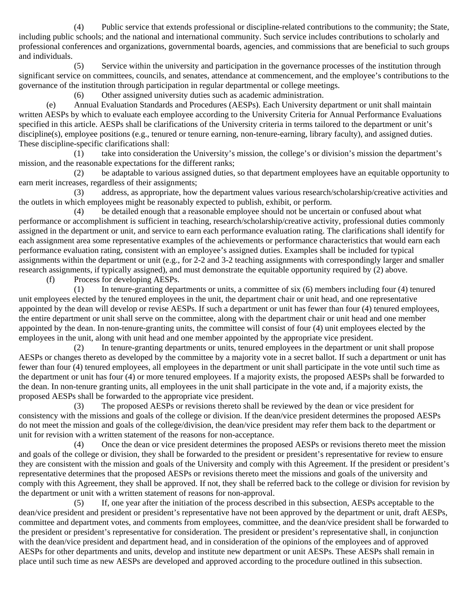(4) Public service that extends professional or discipline-related contributions to the community; the State, including public schools; and the national and international community. Such service includes contributions to scholarly and professional conferences and organizations, governmental boards, agencies, and commissions that are beneficial to such groups and individuals.

(5) Service within the university and participation in the governance processes of the institution through significant service on committees, councils, and senates, attendance at commencement, and the employee's contributions to the governance of the institution through participation in regular departmental or college meetings.

(6) Other assigned university duties such as academic administration.

(e) Annual Evaluation Standards and Procedures (AESPs). Each University department or unit shall maintain written AESPs by which to evaluate each employee according to the University Criteria for Annual Performance Evaluations specified in this article. AESPs shall be clarifications of the University criteria in terms tailored to the department or unit's discipline(s), employee positions (e.g., tenured or tenure earning, non-tenure-earning, library faculty), and assigned duties. These discipline-specific clarifications shall:

(1) take into consideration the University's mission, the college's or division's mission the department's mission, and the reasonable expectations for the different ranks;

(2) be adaptable to various assigned duties, so that department employees have an equitable opportunity to earn merit increases, regardless of their assignments;

(3) address, as appropriate, how the department values various research/scholarship/creative activities and the outlets in which employees might be reasonably expected to publish, exhibit, or perform.

(4) be detailed enough that a reasonable employee should not be uncertain or confused about what performance or accomplishment is sufficient in teaching, research/scholarship/creative activity, professional duties commonly assigned in the department or unit, and service to earn each performance evaluation rating. The clarifications shall identify for each assignment area some representative examples of the achievements or performance characteristics that would earn each performance evaluation rating, consistent with an employee's assigned duties. Examples shall be included for typical assignments within the department or unit (e.g., for 2-2 and 3-2 teaching assignments with correspondingly larger and smaller research assignments, if typically assigned), and must demonstrate the equitable opportunity required by (2) above.

(f) Process for developing AESPs.

(1) In tenure-granting departments or units, a committee of six (6) members including four (4) tenured unit employees elected by the tenured employees in the unit, the department chair or unit head, and one representative appointed by the dean will develop or revise AESPs. If such a department or unit has fewer than four (4) tenured employees, the entire department or unit shall serve on the committee, along with the department chair or unit head and one member appointed by the dean. In non-tenure-granting units, the committee will consist of four (4) unit employees elected by the employees in the unit, along with unit head and one member appointed by the appropriate vice president.

(2) In tenure-granting departments or units, tenured employees in the department or unit shall propose AESPs or changes thereto as developed by the committee by a majority vote in a secret ballot. If such a department or unit has fewer than four (4) tenured employees, all employees in the department or unit shall participate in the vote until such time as the department or unit has four (4) or more tenured employees. If a majority exists, the proposed AESPs shall be forwarded to the dean. In non-tenure granting units, all employees in the unit shall participate in the vote and, if a majority exists, the proposed AESPs shall be forwarded to the appropriate vice president.

(3) The proposed AESPs or revisions thereto shall be reviewed by the dean or vice president for consistency with the missions and goals of the college or division. If the dean/vice president determines the proposed AESPs do not meet the mission and goals of the college/division, the dean/vice president may refer them back to the department or unit for revision with a written statement of the reasons for non-acceptance.

(4) Once the dean or vice president determines the proposed AESPs or revisions thereto meet the mission and goals of the college or division, they shall be forwarded to the president or president's representative for review to ensure they are consistent with the mission and goals of the University and comply with this Agreement. If the president or president's representative determines that the proposed AESPs or revisions thereto meet the missions and goals of the university and comply with this Agreement, they shall be approved. If not, they shall be referred back to the college or division for revision by the department or unit with a written statement of reasons for non-approval.

(5) If, one year after the initiation of the process described in this subsection, AESPs acceptable to the dean/vice president and president or president's representative have not been approved by the department or unit, draft AESPs, committee and department votes, and comments from employees, committee, and the dean/vice president shall be forwarded to the president or president's representative for consideration. The president or president's representative shall, in conjunction with the dean/vice president and department head, and in consideration of the opinions of the employees and of approved AESPs for other departments and units, develop and institute new department or unit AESPs. These AESPs shall remain in place until such time as new AESPs are developed and approved according to the procedure outlined in this subsection.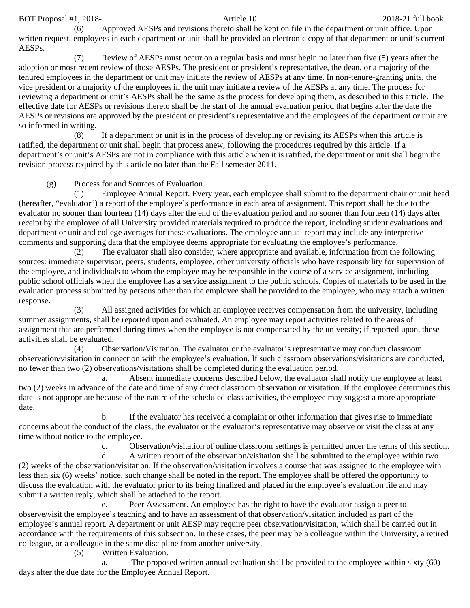# BOT Proposal #1, 2018-<br>
2018-21 full book Article 10

(6) Approved AESPs and revisions thereto shall be kept on file in the department or unit office. Upon written request, employees in each department or unit shall be provided an electronic copy of that department or unit's current AESPs.

(7) Review of AESPs must occur on a regular basis and must begin no later than five (5) years after the adoption or most recent review of those AESPs. The president or president's representative, the dean, or a majority of the tenured employees in the department or unit may initiate the review of AESPs at any time. In non-tenure-granting units, the vice president or a majority of the employees in the unit may initiate a review of the AESPs at any time. The process for reviewing a department or unit's AESPs shall be the same as the process for developing them, as described in this article. The effective date for AESPs or revisions thereto shall be the start of the annual evaluation period that begins after the date the AESPs or revisions are approved by the president or president's representative and the employees of the department or unit are so informed in writing.

(8) If a department or unit is in the process of developing or revising its AESPs when this article is ratified, the department or unit shall begin that process anew, following the procedures required by this article. If a department's or unit's AESPs are not in compliance with this article when it is ratified, the department or unit shall begin the revision process required by this article no later than the Fall semester 2011.

(g) Process for and Sources of Evaluation.

(1) Employee Annual Report. Every year, each employee shall submit to the department chair or unit head (hereafter, "evaluator") a report of the employee's performance in each area of assignment. This report shall be due to the evaluator no sooner than fourteen (14) days after the end of the evaluation period and no sooner than fourteen (14) days after receipt by the employee of all University provided materials required to produce the report, including student evaluations and department or unit and college averages for these evaluations. The employee annual report may include any interpretive comments and supporting data that the employee deems appropriate for evaluating the employee's performance.

(2) The evaluator shall also consider, where appropriate and available, information from the following sources: immediate supervisor, peers, students, employee, other university officials who have responsibility for supervision of the employee, and individuals to whom the employee may be responsible in the course of a service assignment, including public school officials when the employee has a service assignment to the public schools. Copies of materials to be used in the evaluation process submitted by persons other than the employee shall be provided to the employee, who may attach a written response.

(3) All assigned activities for which an employee receives compensation from the university, including summer assignments, shall be reported upon and evaluated. An employee may report activities related to the areas of assignment that are performed during times when the employee is not compensated by the university; if reported upon, these activities shall be evaluated.

(4) Observation/Visitation. The evaluator or the evaluator's representative may conduct classroom observation/visitation in connection with the employee's evaluation. If such classroom observations/visitations are conducted, no fewer than two (2) observations/visitations shall be completed during the evaluation period.

a. Absent immediate concerns described below, the evaluator shall notify the employee at least two (2) weeks in advance of the date and time of any direct classroom observation or visitation. If the employee determines this date is not appropriate because of the nature of the scheduled class activities, the employee may suggest a more appropriate date.

b. If the evaluator has received a complaint or other information that gives rise to immediate concerns about the conduct of the class, the evaluator or the evaluator's representative may observe or visit the class at any time without notice to the employee.

c. Observation/visitation of online classroom settings is permitted under the terms of this section.

d. A written report of the observation/visitation shall be submitted to the employee within two (2) weeks of the observation/visitation. If the observation/visitation involves a course that was assigned to the employee with less than six (6) weeks' notice, such change shall be noted in the report. The employee shall be offered the opportunity to discuss the evaluation with the evaluator prior to its being finalized and placed in the employee's evaluation file and may submit a written reply, which shall be attached to the report.

e. Peer Assessment. An employee has the right to have the evaluator assign a peer to observe/visit the employee's teaching and to have an assessment of that observation/visitation included as part of the employee's annual report. A department or unit AESP may require peer observation/visitation, which shall be carried out in accordance with the requirements of this subsection. In these cases, the peer may be a colleague within the University, a retired colleague, or a colleague in the same discipline from another university.

(5) Written Evaluation.

a. The proposed written annual evaluation shall be provided to the employee within sixty (60) days after the due date for the Employee Annual Report.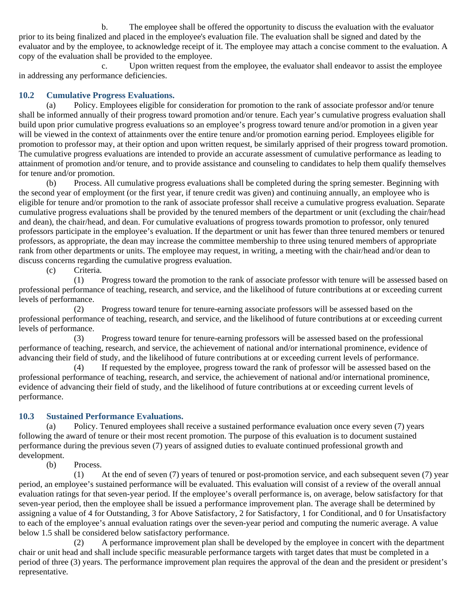b. The employee shall be offered the opportunity to discuss the evaluation with the evaluator prior to its being finalized and placed in the employee's evaluation file. The evaluation shall be signed and dated by the evaluator and by the employee, to acknowledge receipt of it. The employee may attach a concise comment to the evaluation. A copy of the evaluation shall be provided to the employee.

c. Upon written request from the employee, the evaluator shall endeavor to assist the employee in addressing any performance deficiencies.

## **10.2 Cumulative Progress Evaluations.**

(a) Policy. Employees eligible for consideration for promotion to the rank of associate professor and/or tenure shall be informed annually of their progress toward promotion and/or tenure. Each year's cumulative progress evaluation shall build upon prior cumulative progress evaluations so an employee's progress toward tenure and/or promotion in a given year will be viewed in the context of attainments over the entire tenure and/or promotion earning period. Employees eligible for promotion to professor may, at their option and upon written request, be similarly apprised of their progress toward promotion. The cumulative progress evaluations are intended to provide an accurate assessment of cumulative performance as leading to attainment of promotion and/or tenure, and to provide assistance and counseling to candidates to help them qualify themselves for tenure and/or promotion.

(b) Process. All cumulative progress evaluations shall be completed during the spring semester. Beginning with the second year of employment (or the first year, if tenure credit was given) and continuing annually, an employee who is eligible for tenure and/or promotion to the rank of associate professor shall receive a cumulative progress evaluation. Separate cumulative progress evaluations shall be provided by the tenured members of the department or unit (excluding the chair/head and dean), the chair/head, and dean. For cumulative evaluations of progress towards promotion to professor, only tenured professors participate in the employee's evaluation. If the department or unit has fewer than three tenured members or tenured professors, as appropriate, the dean may increase the committee membership to three using tenured members of appropriate rank from other departments or units. The employee may request, in writing, a meeting with the chair/head and/or dean to discuss concerns regarding the cumulative progress evaluation.

(c) Criteria.

(1) Progress toward the promotion to the rank of associate professor with tenure will be assessed based on professional performance of teaching, research, and service, and the likelihood of future contributions at or exceeding current levels of performance.

(2) Progress toward tenure for tenure-earning associate professors will be assessed based on the professional performance of teaching, research, and service, and the likelihood of future contributions at or exceeding current levels of performance.

(3) Progress toward tenure for tenure-earning professors will be assessed based on the professional performance of teaching, research, and service, the achievement of national and/or international prominence, evidence of advancing their field of study, and the likelihood of future contributions at or exceeding current levels of performance.

(4) If requested by the employee, progress toward the rank of professor will be assessed based on the professional performance of teaching, research, and service, the achievement of national and/or international prominence, evidence of advancing their field of study, and the likelihood of future contributions at or exceeding current levels of performance.

## **10.3 Sustained Performance Evaluations.**

(a) Policy. Tenured employees shall receive a sustained performance evaluation once every seven (7) years following the award of tenure or their most recent promotion. The purpose of this evaluation is to document sustained performance during the previous seven (7) years of assigned duties to evaluate continued professional growth and development.

(b) Process.

(1) At the end of seven (7) years of tenured or post-promotion service, and each subsequent seven (7) year period, an employee's sustained performance will be evaluated. This evaluation will consist of a review of the overall annual evaluation ratings for that seven-year period. If the employee's overall performance is, on average, below satisfactory for that seven-year period, then the employee shall be issued a performance improvement plan. The average shall be determined by assigning a value of 4 for Outstanding, 3 for Above Satisfactory, 2 for Satisfactory, 1 for Conditional, and 0 for Unsatisfactory to each of the employee's annual evaluation ratings over the seven-year period and computing the numeric average. A value below 1.5 shall be considered below satisfactory performance.

(2) A performance improvement plan shall be developed by the employee in concert with the department chair or unit head and shall include specific measurable performance targets with target dates that must be completed in a period of three (3) years. The performance improvement plan requires the approval of the dean and the president or president's representative.